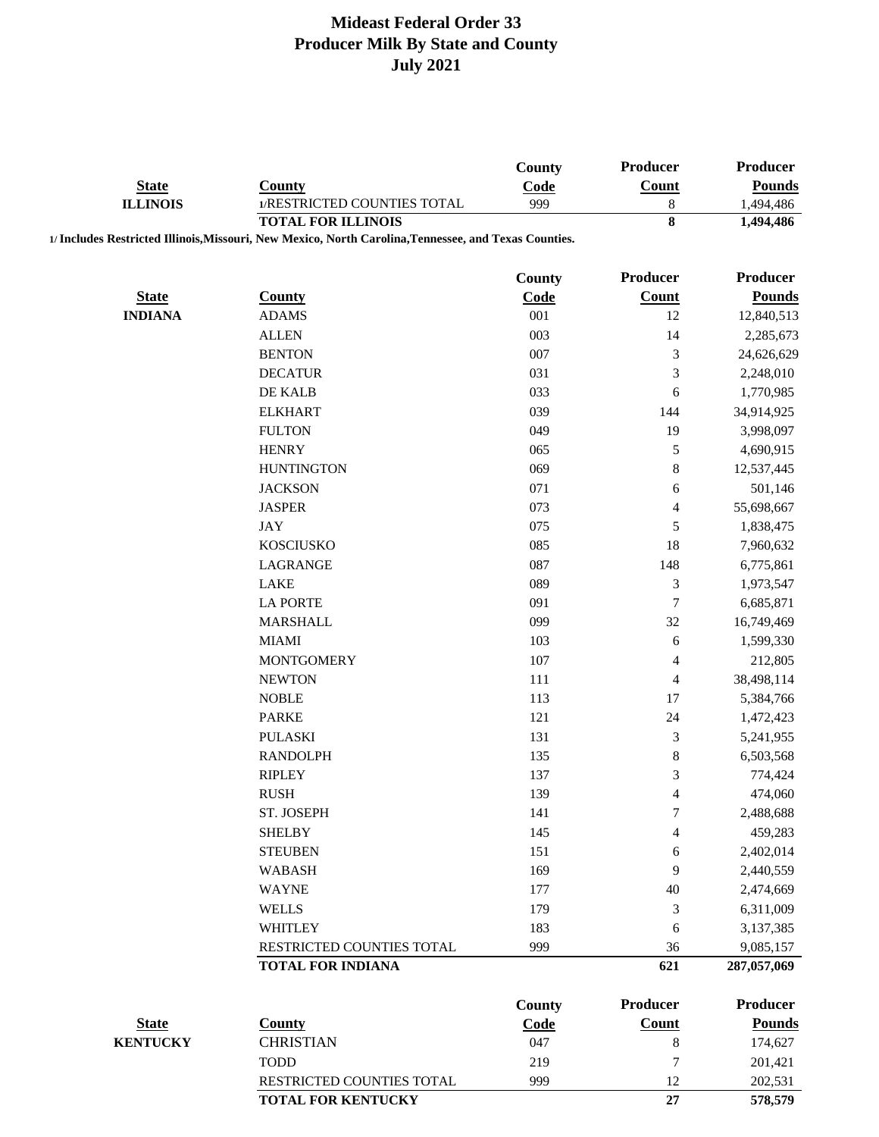|                 |                                                                                                       | County        | Producer        | Producer             |
|-----------------|-------------------------------------------------------------------------------------------------------|---------------|-----------------|----------------------|
| <b>State</b>    | <b>County</b>                                                                                         | Code          | Count           | <b>Pounds</b>        |
| <b>ILLINOIS</b> | 1/RESTRICTED COUNTIES TOTAL                                                                           | 999           | $\,8\,$         | 1,494,486            |
|                 | <b>TOTAL FOR ILLINOIS</b>                                                                             |               | 8               | 1,494,486            |
|                 | 1/ Includes Restricted Illinois, Missouri, New Mexico, North Carolina, Tennessee, and Texas Counties. |               |                 |                      |
|                 |                                                                                                       | County        | <b>Producer</b> | <b>Producer</b>      |
| <b>State</b>    | <b>County</b>                                                                                         | Code          | Count           | <b>Pounds</b>        |
| <b>INDIANA</b>  | <b>ADAMS</b>                                                                                          | 001           | 12              | 12,840,513           |
|                 | <b>ALLEN</b>                                                                                          | 003           | 14              | 2,285,673            |
|                 | <b>BENTON</b>                                                                                         | 007           | 3               | 24,626,629           |
|                 | <b>DECATUR</b>                                                                                        | 031           | 3               | 2,248,010            |
|                 | DE KALB                                                                                               | 033           | 6               | 1,770,985            |
|                 | <b>ELKHART</b>                                                                                        | 039           | 144             | 34,914,925           |
|                 | <b>FULTON</b>                                                                                         | 049           | 19              | 3,998,097            |
|                 | <b>HENRY</b>                                                                                          | 065           | 5               | 4,690,915            |
|                 | <b>HUNTINGTON</b>                                                                                     | 069           | 8               | 12,537,445           |
|                 | <b>JACKSON</b>                                                                                        | 071           | 6               | 501,146              |
|                 | <b>JASPER</b>                                                                                         | 073           | 4               | 55,698,667           |
|                 | <b>JAY</b>                                                                                            | 075           | 5               | 1,838,475            |
|                 | <b>KOSCIUSKO</b>                                                                                      | 085           | 18              | 7,960,632            |
|                 | LAGRANGE                                                                                              | 087           | 148             | 6,775,861            |
|                 | <b>LAKE</b>                                                                                           | 089           | $\mathfrak{Z}$  | 1,973,547            |
|                 | <b>LA PORTE</b>                                                                                       | 091           | $\overline{7}$  | 6,685,871            |
|                 | <b>MARSHALL</b>                                                                                       | 099           | 32              | 16,749,469           |
|                 | <b>MIAMI</b>                                                                                          | 103           | 6               | 1,599,330            |
|                 | <b>MONTGOMERY</b>                                                                                     | 107           | 4               | 212,805              |
|                 | <b>NEWTON</b>                                                                                         | 111           | 4               | 38,498,114           |
|                 | <b>NOBLE</b>                                                                                          | 113           | 17              | 5,384,766            |
|                 | <b>PARKE</b>                                                                                          | 121           | 24              | 1,472,423            |
|                 | <b>PULASKI</b>                                                                                        | 131           | 3               | 5,241,955            |
|                 | <b>RANDOLPH</b>                                                                                       | 135           | $\,$ 8 $\,$     | 6,503,568            |
|                 | <b>RIPLEY</b>                                                                                         | 137           | 3               | 774,424              |
|                 | <b>RUSH</b>                                                                                           | 139           | 4               |                      |
|                 | ST. JOSEPH                                                                                            |               | 7               | 474,060<br>2,488,688 |
|                 | <b>SHELBY</b>                                                                                         | 141<br>145    |                 |                      |
|                 | <b>STEUBEN</b>                                                                                        | 151           | 4               | 459,283              |
|                 |                                                                                                       |               | 6               | 2,402,014            |
|                 | <b>WABASH</b><br><b>WAYNE</b>                                                                         | 169           | 9               | 2,440,559            |
|                 |                                                                                                       | 177           | 40              | 2,474,669            |
|                 | <b>WELLS</b>                                                                                          | 179           | 3               | 6,311,009            |
|                 | <b>WHITLEY</b>                                                                                        | 183           | 6               | 3,137,385            |
|                 | RESTRICTED COUNTIES TOTAL                                                                             | 999           | 36              | 9,085,157            |
|                 | <b>TOTAL FOR INDIANA</b>                                                                              |               | 621             | 287,057,069          |
|                 |                                                                                                       | <b>County</b> | <b>Producer</b> | Producer             |
| <b>State</b>    | <b>County</b>                                                                                         | Code          | <b>Count</b>    | <b>Pounds</b>        |
| <b>KENTUCKY</b> | <b>CHRISTIAN</b>                                                                                      | 047           | 8               | 174,627              |
|                 | <b>TODD</b>                                                                                           | 219           | 7               | 201,421              |
|                 | RESTRICTED COUNTIES TOTAL                                                                             | 999           | 12              | 202,531              |
|                 | <b>TOTAL FOR KENTUCKY</b>                                                                             |               | 27              | 578,579              |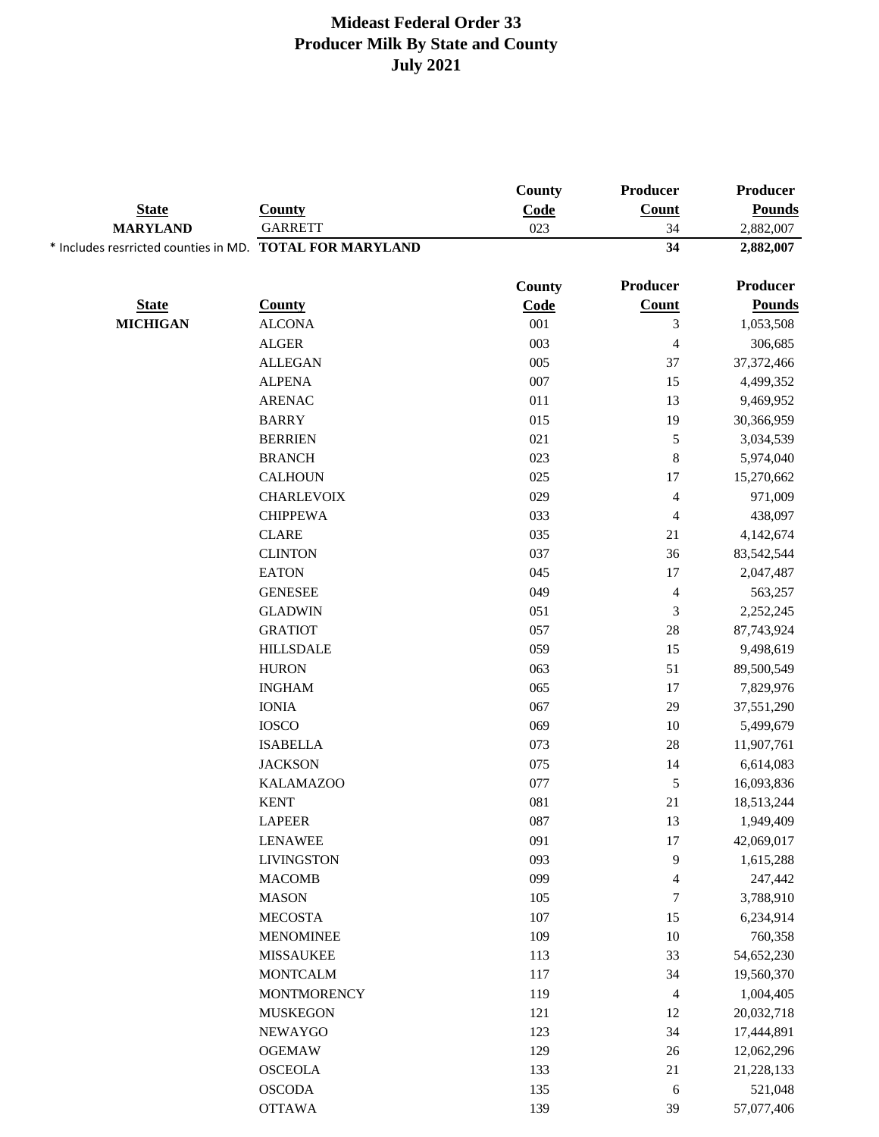|                                                          | <b>County</b>                       | County<br>Code | Producer<br><b>Count</b> | Producer<br><b>Pounds</b> |
|----------------------------------------------------------|-------------------------------------|----------------|--------------------------|---------------------------|
| <b>State</b>                                             |                                     |                |                          |                           |
| <b>MARYLAND</b>                                          | <b>GARRETT</b>                      | 023            | 34                       | 2,882,007                 |
| * Includes resrricted counties in MD. TOTAL FOR MARYLAND |                                     |                | 34                       | 2,882,007                 |
|                                                          |                                     | County         | <b>Producer</b>          | <b>Producer</b>           |
| <b>State</b>                                             | <b>County</b>                       | Code           | <b>Count</b>             | <b>Pounds</b>             |
| <b>MICHIGAN</b>                                          | <b>ALCONA</b>                       | 001            | $\mathfrak 3$            | 1,053,508                 |
|                                                          | <b>ALGER</b>                        | 003            | $\overline{4}$           | 306,685                   |
|                                                          | <b>ALLEGAN</b>                      | 005            | 37                       | 37, 372, 466              |
|                                                          | <b>ALPENA</b>                       | 007            | 15                       | 4,499,352                 |
|                                                          | <b>ARENAC</b>                       | 011            | 13                       | 9,469,952                 |
|                                                          | <b>BARRY</b>                        | 015            | 19                       | 30,366,959                |
|                                                          | <b>BERRIEN</b>                      | 021            | $\mathfrak s$            | 3,034,539                 |
|                                                          | <b>BRANCH</b>                       | 023            | $\,$ $\,$                | 5,974,040                 |
|                                                          | <b>CALHOUN</b>                      | 025            | 17                       | 15,270,662                |
|                                                          | <b>CHARLEVOIX</b>                   | 029            | $\overline{4}$           | 971,009                   |
|                                                          | <b>CHIPPEWA</b>                     | 033            | $\overline{\mathcal{A}}$ | 438,097                   |
|                                                          | <b>CLARE</b>                        | 035            | $21\,$                   | 4,142,674                 |
|                                                          | <b>CLINTON</b>                      | 037            | 36                       | 83,542,544                |
|                                                          | <b>EATON</b>                        | 045            | $17\,$                   | 2,047,487                 |
|                                                          | <b>GENESEE</b>                      | 049            | $\overline{4}$           | 563,257                   |
|                                                          | <b>GLADWIN</b>                      | 051            | $\mathfrak{Z}$           | 2,252,245                 |
|                                                          | <b>GRATIOT</b>                      | 057            | 28                       | 87,743,924                |
|                                                          | <b>HILLSDALE</b>                    | 059            | 15                       | 9,498,619                 |
|                                                          | <b>HURON</b>                        | 063            | 51                       | 89,500,549                |
|                                                          | <b>INGHAM</b>                       | 065            | 17                       | 7,829,976                 |
|                                                          | <b>IONIA</b>                        | 067            | 29                       | 37,551,290                |
|                                                          | <b>IOSCO</b>                        | 069            | $10\,$                   | 5,499,679                 |
|                                                          | <b>ISABELLA</b>                     | 073            | 28                       | 11,907,761                |
|                                                          | <b>JACKSON</b>                      | 075            | 14                       | 6,614,083                 |
|                                                          | <b>KALAMAZOO</b>                    | 077            | $\mathfrak s$            |                           |
|                                                          | <b>KENT</b>                         | 081            | 21                       | 16,093,836<br>18,513,244  |
|                                                          |                                     | 087            |                          |                           |
|                                                          | <b>LAPEER</b>                       | 091            | 13<br>$17\,$             | 1,949,409                 |
|                                                          | <b>LENAWEE</b><br><b>LIVINGSTON</b> | 093            |                          | 42,069,017                |
|                                                          | <b>MACOMB</b>                       | 099            | 9                        | 1,615,288                 |
|                                                          |                                     |                | $\overline{4}$           | 247,442                   |
|                                                          | <b>MASON</b>                        | 105            | $\boldsymbol{7}$         | 3,788,910                 |
|                                                          | <b>MECOSTA</b>                      | 107            | 15                       | 6,234,914                 |
|                                                          | <b>MENOMINEE</b>                    | 109            | $10\,$                   | 760,358                   |
|                                                          | <b>MISSAUKEE</b>                    | 113            | 33                       | 54,652,230                |
|                                                          | <b>MONTCALM</b>                     | 117            | 34                       | 19,560,370                |
|                                                          | <b>MONTMORENCY</b>                  | 119            | $\overline{4}$           | 1,004,405                 |
|                                                          | <b>MUSKEGON</b>                     | 121            | 12                       | 20,032,718                |
|                                                          | NEWAYGO                             | 123            | 34                       | 17,444,891                |
|                                                          | <b>OGEMAW</b>                       | 129            | 26                       | 12,062,296                |
|                                                          | <b>OSCEOLA</b>                      | 133            | 21                       | 21,228,133                |
|                                                          | <b>OSCODA</b>                       | 135            | 6                        | 521,048                   |
|                                                          | <b>OTTAWA</b>                       | 139            | 39                       | 57,077,406                |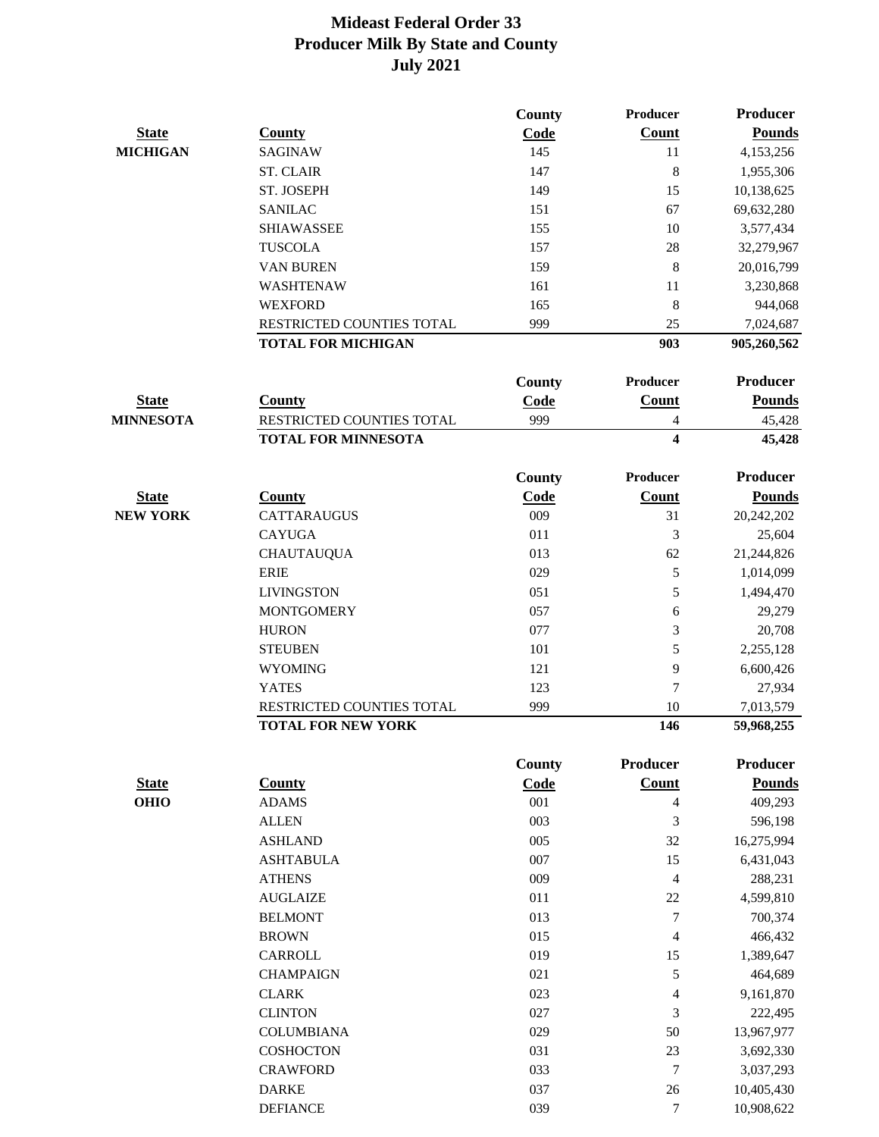|                  |                            | County        | Producer                 | <b>Producer</b> |
|------------------|----------------------------|---------------|--------------------------|-----------------|
| <b>State</b>     | <b>County</b>              | Code          | <b>Count</b>             | <b>Pounds</b>   |
| <b>MICHIGAN</b>  | <b>SAGINAW</b>             | 145           | 11                       | 4,153,256       |
|                  | <b>ST. CLAIR</b>           | 147           | $\,8\,$                  | 1,955,306       |
|                  | ST. JOSEPH                 | 149           | 15                       | 10,138,625      |
|                  | <b>SANILAC</b>             | 151           | 67                       | 69,632,280      |
|                  | <b>SHIAWASSEE</b>          | 155           | 10                       | 3,577,434       |
|                  | <b>TUSCOLA</b>             | 157           | 28                       | 32,279,967      |
|                  | <b>VAN BUREN</b>           | 159           | 8                        | 20,016,799      |
|                  | WASHTENAW                  | 161           | 11                       | 3,230,868       |
|                  | <b>WEXFORD</b>             | 165           | $\,8\,$                  | 944,068         |
|                  | RESTRICTED COUNTIES TOTAL  | 999           | 25                       | 7,024,687       |
|                  | <b>TOTAL FOR MICHIGAN</b>  |               | 903                      | 905,260,562     |
|                  |                            | <b>County</b> | <b>Producer</b>          | <b>Producer</b> |
| <b>State</b>     | <b>County</b>              | Code          | <b>Count</b>             | <b>Pounds</b>   |
| <b>MINNESOTA</b> | RESTRICTED COUNTIES TOTAL  | 999           | 4                        | 45,428          |
|                  | <b>TOTAL FOR MINNESOTA</b> |               | $\overline{\mathbf{4}}$  | 45,428          |
|                  |                            | <b>County</b> | Producer                 | <b>Producer</b> |
| <b>State</b>     | <b>County</b>              | Code          | <b>Count</b>             | <b>Pounds</b>   |
| <b>NEW YORK</b>  | <b>CATTARAUGUS</b>         | 009           | 31                       | 20,242,202      |
|                  | <b>CAYUGA</b>              | 011           | 3                        | 25,604          |
|                  | <b>CHAUTAUQUA</b>          | 013           | 62                       | 21,244,826      |
|                  | <b>ERIE</b>                | 029           | 5                        | 1,014,099       |
|                  | <b>LIVINGSTON</b>          | 051           | 5                        | 1,494,470       |
|                  | <b>MONTGOMERY</b>          | 057           | 6                        | 29,279          |
|                  | <b>HURON</b>               | 077           | 3                        | 20,708          |
|                  | <b>STEUBEN</b>             | 101           | 5                        | 2,255,128       |
|                  | <b>WYOMING</b>             | 121           | 9                        | 6,600,426       |
|                  | <b>YATES</b>               | 123           | 7                        | 27,934          |
|                  | RESTRICTED COUNTIES TOTAL  | 999           | 10                       | 7,013,579       |
|                  | <b>TOTAL FOR NEW YORK</b>  |               | 146                      | 59,968,255      |
|                  |                            | County        | Producer                 | Producer        |
| <b>State</b>     | <b>County</b>              | Code          | <b>Count</b>             | <b>Pounds</b>   |
| <b>OHIO</b>      | <b>ADAMS</b>               | 001           | $\overline{\mathcal{L}}$ | 409,293         |
|                  | <b>ALLEN</b>               | 003           | $\mathfrak{Z}$           | 596,198         |
|                  | <b>ASHLAND</b>             | 005           | 32                       | 16,275,994      |
|                  | <b>ASHTABULA</b>           | 007           | 15                       | 6,431,043       |
|                  | <b>ATHENS</b>              | 009           | $\overline{4}$           | 288,231         |
|                  | <b>AUGLAIZE</b>            | 011           | $22\,$                   | 4,599,810       |
|                  | <b>BELMONT</b>             | 013           | $\boldsymbol{7}$         | 700,374         |
|                  | <b>BROWN</b>               | 015           | $\overline{4}$           | 466,432         |
|                  | CARROLL                    | 019           | 15                       | 1,389,647       |
|                  | <b>CHAMPAIGN</b>           | 021           | 5                        | 464,689         |
|                  | <b>CLARK</b>               | 023           | 4                        | 9,161,870       |
|                  | <b>CLINTON</b>             | 027           | 3                        | 222,495         |
|                  | <b>COLUMBIANA</b>          | 029           | 50                       | 13,967,977      |
|                  | <b>COSHOCTON</b>           | 031           | 23                       | 3,692,330       |
|                  | <b>CRAWFORD</b>            | 033           | $\boldsymbol{7}$         | 3,037,293       |
|                  | <b>DARKE</b>               | 037           | 26                       | 10,405,430      |
|                  | <b>DEFIANCE</b>            | 039           | 7                        | 10,908,622      |
|                  |                            |               |                          |                 |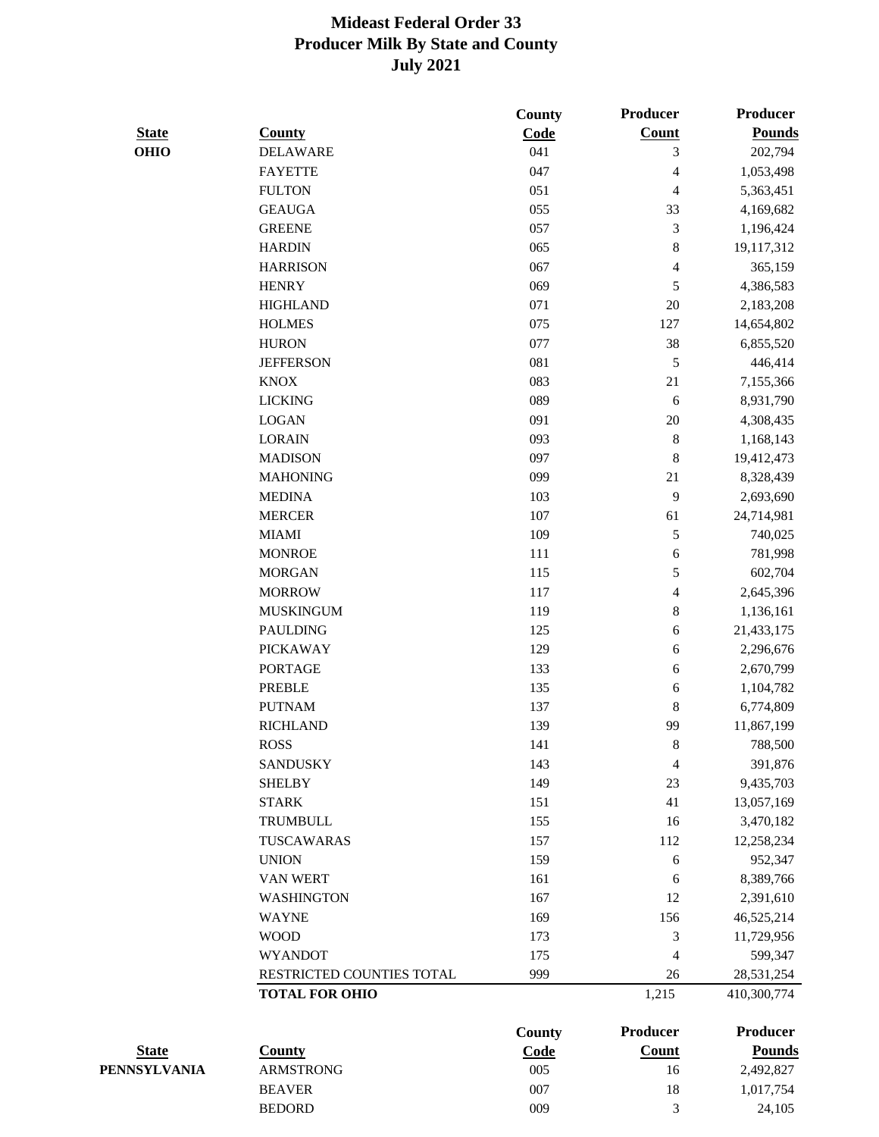|              |                           | County        | <b>Producer</b> | Producer        |
|--------------|---------------------------|---------------|-----------------|-----------------|
| <b>State</b> | <b>County</b>             | Code          | <b>Count</b>    | <b>Pounds</b>   |
| <b>OHIO</b>  | <b>DELAWARE</b>           | 041           | 3               | 202,794         |
|              | <b>FAYETTE</b>            | 047           | 4               | 1,053,498       |
|              | <b>FULTON</b>             | 051           | 4               | 5,363,451       |
|              | <b>GEAUGA</b>             | 055           | 33              | 4,169,682       |
|              | <b>GREENE</b>             | 057           | $\mathfrak{Z}$  | 1,196,424       |
|              | <b>HARDIN</b>             | 065           | $\,8\,$         | 19,117,312      |
|              | <b>HARRISON</b>           | 067           | 4               | 365,159         |
|              | <b>HENRY</b>              | 069           | 5               | 4,386,583       |
|              | <b>HIGHLAND</b>           | 071           | 20              | 2,183,208       |
|              | <b>HOLMES</b>             | 075           | 127             | 14,654,802      |
|              | <b>HURON</b>              | 077           | 38              | 6,855,520       |
|              | <b>JEFFERSON</b>          | 081           | 5               | 446,414         |
|              | <b>KNOX</b>               | 083           | 21              | 7,155,366       |
|              | <b>LICKING</b>            | 089           | 6               | 8,931,790       |
|              | <b>LOGAN</b>              | 091           | 20              | 4,308,435       |
|              | <b>LORAIN</b>             | 093           | $\,8\,$         | 1,168,143       |
|              | <b>MADISON</b>            | 097           | $\,8\,$         | 19,412,473      |
|              | <b>MAHONING</b>           | 099           | 21              | 8,328,439       |
|              | <b>MEDINA</b>             | 103           | 9               | 2,693,690       |
|              | <b>MERCER</b>             | 107           | 61              | 24,714,981      |
|              | <b>MIAMI</b>              | 109           | $\mathfrak s$   | 740,025         |
|              | <b>MONROE</b>             | 111           | $\sqrt{6}$      | 781,998         |
|              | <b>MORGAN</b>             | 115           | 5               | 602,704         |
|              | <b>MORROW</b>             | 117           | 4               | 2,645,396       |
|              | <b>MUSKINGUM</b>          | 119           | $\,8\,$         | 1,136,161       |
|              | <b>PAULDING</b>           | 125           | 6               | 21,433,175      |
|              | <b>PICKAWAY</b>           | 129           | $\sqrt{6}$      | 2,296,676       |
|              | <b>PORTAGE</b>            | 133           | $\sqrt{6}$      | 2,670,799       |
|              | <b>PREBLE</b>             | 135           | 6               | 1,104,782       |
|              | <b>PUTNAM</b>             | 137           | $\,8\,$         | 6,774,809       |
|              | <b>RICHLAND</b>           | 139           | 99              | 11,867,199      |
|              | <b>ROSS</b>               | 141           | 8               | 788,500         |
|              | <b>SANDUSKY</b>           | 143           | $\overline{4}$  | 391,876         |
|              | <b>SHELBY</b>             | 149           | 23              | 9,435,703       |
|              | <b>STARK</b>              | 151           | 41              | 13,057,169      |
|              | <b>TRUMBULL</b>           | 155           | 16              | 3,470,182       |
|              | TUSCAWARAS                | 157           | 112             | 12,258,234      |
|              | <b>UNION</b>              | 159           | 6               | 952,347         |
|              | <b>VAN WERT</b>           | 161           | 6               | 8,389,766       |
|              | <b>WASHINGTON</b>         | 167           | 12              | 2,391,610       |
|              | <b>WAYNE</b>              | 169           | 156             | 46,525,214      |
|              | <b>WOOD</b>               | 173           | 3               | 11,729,956      |
|              | <b>WYANDOT</b>            | 175           | $\overline{4}$  | 599,347         |
|              | RESTRICTED COUNTIES TOTAL | 999           | 26              | 28,531,254      |
|              | <b>TOTAL FOR OHIO</b>     |               | 1,215           | 410,300,774     |
|              |                           | <b>County</b> | <b>Producer</b> | <b>Producer</b> |
| <b>State</b> | <b>County</b>             | Code          | <b>Count</b>    | <b>Pounds</b>   |

**PENNSYLVANIA** ARMSTRONG 005 16 2,492,827 BEAVER 007 18 1,017,754 BEDORD 009 3 24,105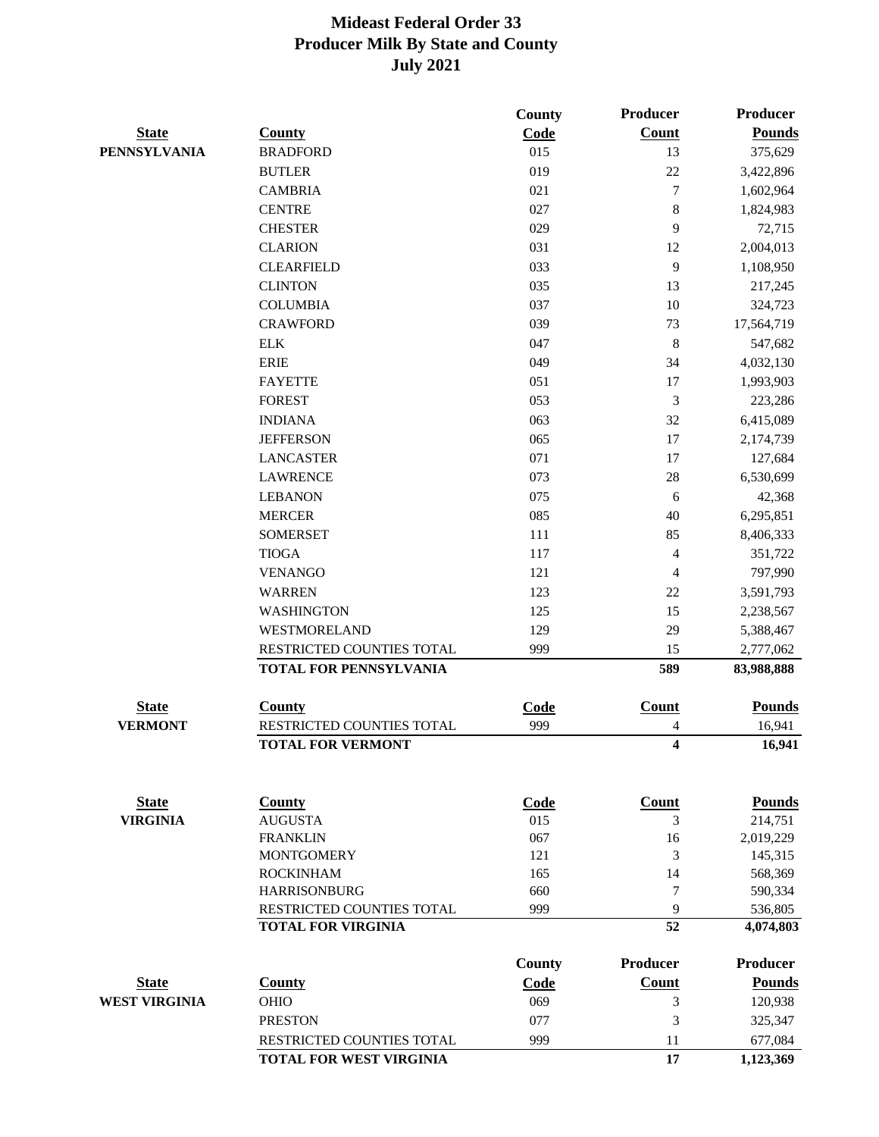| <b>Count</b><br><b>Pounds</b><br><b>State</b><br><b>County</b><br>Code<br><b>PENNSYLVANIA</b><br><b>BRADFORD</b><br>015<br>13<br>375,629<br>019<br>22<br><b>BUTLER</b><br>3,422,896<br>$\tau$<br><b>CAMBRIA</b><br>021<br>1,602,964<br>$\,8\,$<br><b>CENTRE</b><br>027<br>1,824,983<br><b>CHESTER</b><br>029<br>9<br>72,715<br><b>CLARION</b><br>031<br>12<br>2,004,013<br>9<br><b>CLEARFIELD</b><br>033<br>1,108,950<br>13<br><b>CLINTON</b><br>035<br>217,245<br>10<br><b>COLUMBIA</b><br>037<br>324,723<br>039<br>73<br><b>CRAWFORD</b><br>17,564,719<br>$\,8\,$<br><b>ELK</b><br>047<br>547,682<br>34<br><b>ERIE</b><br>049<br>4,032,130<br><b>FAYETTE</b><br>051<br>17<br>1,993,903<br>3<br><b>FOREST</b><br>053<br>223,286<br>063<br>32<br><b>INDIANA</b><br>6,415,089<br>17<br><b>JEFFERSON</b><br>065<br>2,174,739<br>071<br>17<br><b>LANCASTER</b><br>127,684<br>$28\,$<br><b>LAWRENCE</b><br>073<br>6,530,699<br><b>LEBANON</b><br>075<br>6<br>42,368<br>085<br>40<br><b>MERCER</b><br>6,295,851<br>85<br><b>SOMERSET</b><br>111<br>8,406,333<br><b>TIOGA</b><br>$\overline{4}$<br>117<br>351,722<br>$\overline{4}$<br><b>VENANGO</b><br>121<br>797,990<br>$22\,$<br><b>WARREN</b><br>123<br>3,591,793<br><b>WASHINGTON</b><br>125<br>15<br>2,238,567<br>WESTMORELAND<br>129<br>29<br>5,388,467<br>RESTRICTED COUNTIES TOTAL<br>999<br>15<br>2,777,062<br>TOTAL FOR PENNSYLVANIA<br>589<br>83,988,888<br>Count<br><b>State</b><br>Code<br><b>Pounds</b><br><b>County</b><br><b>VERMONT</b><br>RESTRICTED COUNTIES TOTAL<br>16,941<br>999<br>4<br>4<br><b>TOTAL FOR VERMONT</b><br>16,941<br><b>State</b><br><b>County</b><br><b>Count</b><br><b>Pounds</b><br><b>Code</b><br><b>VIRGINIA</b><br><b>AUGUSTA</b><br>015<br>3<br>214,751<br><b>FRANKLIN</b><br>067<br>16<br>2,019,229<br>3<br><b>MONTGOMERY</b><br>121<br>145,315<br><b>ROCKINHAM</b><br>165<br>14<br>568,369<br><b>HARRISONBURG</b><br>$\tau$<br>660<br>590,334<br>RESTRICTED COUNTIES TOTAL<br>999<br>9<br>536,805<br>52<br><b>TOTAL FOR VIRGINIA</b><br>4,074,803<br><b>Producer</b><br>Producer<br>County<br><b>Pounds</b><br><b>State</b><br><b>County</b><br>Code<br><b>Count</b><br><b>WEST VIRGINIA</b><br>120,938<br><b>OHIO</b><br>069<br>3<br><b>PRESTON</b><br>077<br>3<br>325,347<br>RESTRICTED COUNTIES TOTAL<br>999<br>11<br>677,084<br>17<br><b>TOTAL FOR WEST VIRGINIA</b><br>1,123,369 |  | <b>County</b> | <b>Producer</b> | Producer |
|---------------------------------------------------------------------------------------------------------------------------------------------------------------------------------------------------------------------------------------------------------------------------------------------------------------------------------------------------------------------------------------------------------------------------------------------------------------------------------------------------------------------------------------------------------------------------------------------------------------------------------------------------------------------------------------------------------------------------------------------------------------------------------------------------------------------------------------------------------------------------------------------------------------------------------------------------------------------------------------------------------------------------------------------------------------------------------------------------------------------------------------------------------------------------------------------------------------------------------------------------------------------------------------------------------------------------------------------------------------------------------------------------------------------------------------------------------------------------------------------------------------------------------------------------------------------------------------------------------------------------------------------------------------------------------------------------------------------------------------------------------------------------------------------------------------------------------------------------------------------------------------------------------------------------------------------------------------------------------------------------------------------------------------------------------------------------------------------------------------------------------------------------------------------------------------------------------------------------------------------------------------------------------------------------------------------------------------------------------------------------------|--|---------------|-----------------|----------|
|                                                                                                                                                                                                                                                                                                                                                                                                                                                                                                                                                                                                                                                                                                                                                                                                                                                                                                                                                                                                                                                                                                                                                                                                                                                                                                                                                                                                                                                                                                                                                                                                                                                                                                                                                                                                                                                                                                                                                                                                                                                                                                                                                                                                                                                                                                                                                                                 |  |               |                 |          |
|                                                                                                                                                                                                                                                                                                                                                                                                                                                                                                                                                                                                                                                                                                                                                                                                                                                                                                                                                                                                                                                                                                                                                                                                                                                                                                                                                                                                                                                                                                                                                                                                                                                                                                                                                                                                                                                                                                                                                                                                                                                                                                                                                                                                                                                                                                                                                                                 |  |               |                 |          |
|                                                                                                                                                                                                                                                                                                                                                                                                                                                                                                                                                                                                                                                                                                                                                                                                                                                                                                                                                                                                                                                                                                                                                                                                                                                                                                                                                                                                                                                                                                                                                                                                                                                                                                                                                                                                                                                                                                                                                                                                                                                                                                                                                                                                                                                                                                                                                                                 |  |               |                 |          |
|                                                                                                                                                                                                                                                                                                                                                                                                                                                                                                                                                                                                                                                                                                                                                                                                                                                                                                                                                                                                                                                                                                                                                                                                                                                                                                                                                                                                                                                                                                                                                                                                                                                                                                                                                                                                                                                                                                                                                                                                                                                                                                                                                                                                                                                                                                                                                                                 |  |               |                 |          |
|                                                                                                                                                                                                                                                                                                                                                                                                                                                                                                                                                                                                                                                                                                                                                                                                                                                                                                                                                                                                                                                                                                                                                                                                                                                                                                                                                                                                                                                                                                                                                                                                                                                                                                                                                                                                                                                                                                                                                                                                                                                                                                                                                                                                                                                                                                                                                                                 |  |               |                 |          |
|                                                                                                                                                                                                                                                                                                                                                                                                                                                                                                                                                                                                                                                                                                                                                                                                                                                                                                                                                                                                                                                                                                                                                                                                                                                                                                                                                                                                                                                                                                                                                                                                                                                                                                                                                                                                                                                                                                                                                                                                                                                                                                                                                                                                                                                                                                                                                                                 |  |               |                 |          |
|                                                                                                                                                                                                                                                                                                                                                                                                                                                                                                                                                                                                                                                                                                                                                                                                                                                                                                                                                                                                                                                                                                                                                                                                                                                                                                                                                                                                                                                                                                                                                                                                                                                                                                                                                                                                                                                                                                                                                                                                                                                                                                                                                                                                                                                                                                                                                                                 |  |               |                 |          |
|                                                                                                                                                                                                                                                                                                                                                                                                                                                                                                                                                                                                                                                                                                                                                                                                                                                                                                                                                                                                                                                                                                                                                                                                                                                                                                                                                                                                                                                                                                                                                                                                                                                                                                                                                                                                                                                                                                                                                                                                                                                                                                                                                                                                                                                                                                                                                                                 |  |               |                 |          |
|                                                                                                                                                                                                                                                                                                                                                                                                                                                                                                                                                                                                                                                                                                                                                                                                                                                                                                                                                                                                                                                                                                                                                                                                                                                                                                                                                                                                                                                                                                                                                                                                                                                                                                                                                                                                                                                                                                                                                                                                                                                                                                                                                                                                                                                                                                                                                                                 |  |               |                 |          |
|                                                                                                                                                                                                                                                                                                                                                                                                                                                                                                                                                                                                                                                                                                                                                                                                                                                                                                                                                                                                                                                                                                                                                                                                                                                                                                                                                                                                                                                                                                                                                                                                                                                                                                                                                                                                                                                                                                                                                                                                                                                                                                                                                                                                                                                                                                                                                                                 |  |               |                 |          |
|                                                                                                                                                                                                                                                                                                                                                                                                                                                                                                                                                                                                                                                                                                                                                                                                                                                                                                                                                                                                                                                                                                                                                                                                                                                                                                                                                                                                                                                                                                                                                                                                                                                                                                                                                                                                                                                                                                                                                                                                                                                                                                                                                                                                                                                                                                                                                                                 |  |               |                 |          |
|                                                                                                                                                                                                                                                                                                                                                                                                                                                                                                                                                                                                                                                                                                                                                                                                                                                                                                                                                                                                                                                                                                                                                                                                                                                                                                                                                                                                                                                                                                                                                                                                                                                                                                                                                                                                                                                                                                                                                                                                                                                                                                                                                                                                                                                                                                                                                                                 |  |               |                 |          |
|                                                                                                                                                                                                                                                                                                                                                                                                                                                                                                                                                                                                                                                                                                                                                                                                                                                                                                                                                                                                                                                                                                                                                                                                                                                                                                                                                                                                                                                                                                                                                                                                                                                                                                                                                                                                                                                                                                                                                                                                                                                                                                                                                                                                                                                                                                                                                                                 |  |               |                 |          |
|                                                                                                                                                                                                                                                                                                                                                                                                                                                                                                                                                                                                                                                                                                                                                                                                                                                                                                                                                                                                                                                                                                                                                                                                                                                                                                                                                                                                                                                                                                                                                                                                                                                                                                                                                                                                                                                                                                                                                                                                                                                                                                                                                                                                                                                                                                                                                                                 |  |               |                 |          |
|                                                                                                                                                                                                                                                                                                                                                                                                                                                                                                                                                                                                                                                                                                                                                                                                                                                                                                                                                                                                                                                                                                                                                                                                                                                                                                                                                                                                                                                                                                                                                                                                                                                                                                                                                                                                                                                                                                                                                                                                                                                                                                                                                                                                                                                                                                                                                                                 |  |               |                 |          |
|                                                                                                                                                                                                                                                                                                                                                                                                                                                                                                                                                                                                                                                                                                                                                                                                                                                                                                                                                                                                                                                                                                                                                                                                                                                                                                                                                                                                                                                                                                                                                                                                                                                                                                                                                                                                                                                                                                                                                                                                                                                                                                                                                                                                                                                                                                                                                                                 |  |               |                 |          |
|                                                                                                                                                                                                                                                                                                                                                                                                                                                                                                                                                                                                                                                                                                                                                                                                                                                                                                                                                                                                                                                                                                                                                                                                                                                                                                                                                                                                                                                                                                                                                                                                                                                                                                                                                                                                                                                                                                                                                                                                                                                                                                                                                                                                                                                                                                                                                                                 |  |               |                 |          |
|                                                                                                                                                                                                                                                                                                                                                                                                                                                                                                                                                                                                                                                                                                                                                                                                                                                                                                                                                                                                                                                                                                                                                                                                                                                                                                                                                                                                                                                                                                                                                                                                                                                                                                                                                                                                                                                                                                                                                                                                                                                                                                                                                                                                                                                                                                                                                                                 |  |               |                 |          |
|                                                                                                                                                                                                                                                                                                                                                                                                                                                                                                                                                                                                                                                                                                                                                                                                                                                                                                                                                                                                                                                                                                                                                                                                                                                                                                                                                                                                                                                                                                                                                                                                                                                                                                                                                                                                                                                                                                                                                                                                                                                                                                                                                                                                                                                                                                                                                                                 |  |               |                 |          |
|                                                                                                                                                                                                                                                                                                                                                                                                                                                                                                                                                                                                                                                                                                                                                                                                                                                                                                                                                                                                                                                                                                                                                                                                                                                                                                                                                                                                                                                                                                                                                                                                                                                                                                                                                                                                                                                                                                                                                                                                                                                                                                                                                                                                                                                                                                                                                                                 |  |               |                 |          |
|                                                                                                                                                                                                                                                                                                                                                                                                                                                                                                                                                                                                                                                                                                                                                                                                                                                                                                                                                                                                                                                                                                                                                                                                                                                                                                                                                                                                                                                                                                                                                                                                                                                                                                                                                                                                                                                                                                                                                                                                                                                                                                                                                                                                                                                                                                                                                                                 |  |               |                 |          |
|                                                                                                                                                                                                                                                                                                                                                                                                                                                                                                                                                                                                                                                                                                                                                                                                                                                                                                                                                                                                                                                                                                                                                                                                                                                                                                                                                                                                                                                                                                                                                                                                                                                                                                                                                                                                                                                                                                                                                                                                                                                                                                                                                                                                                                                                                                                                                                                 |  |               |                 |          |
|                                                                                                                                                                                                                                                                                                                                                                                                                                                                                                                                                                                                                                                                                                                                                                                                                                                                                                                                                                                                                                                                                                                                                                                                                                                                                                                                                                                                                                                                                                                                                                                                                                                                                                                                                                                                                                                                                                                                                                                                                                                                                                                                                                                                                                                                                                                                                                                 |  |               |                 |          |
|                                                                                                                                                                                                                                                                                                                                                                                                                                                                                                                                                                                                                                                                                                                                                                                                                                                                                                                                                                                                                                                                                                                                                                                                                                                                                                                                                                                                                                                                                                                                                                                                                                                                                                                                                                                                                                                                                                                                                                                                                                                                                                                                                                                                                                                                                                                                                                                 |  |               |                 |          |
|                                                                                                                                                                                                                                                                                                                                                                                                                                                                                                                                                                                                                                                                                                                                                                                                                                                                                                                                                                                                                                                                                                                                                                                                                                                                                                                                                                                                                                                                                                                                                                                                                                                                                                                                                                                                                                                                                                                                                                                                                                                                                                                                                                                                                                                                                                                                                                                 |  |               |                 |          |
|                                                                                                                                                                                                                                                                                                                                                                                                                                                                                                                                                                                                                                                                                                                                                                                                                                                                                                                                                                                                                                                                                                                                                                                                                                                                                                                                                                                                                                                                                                                                                                                                                                                                                                                                                                                                                                                                                                                                                                                                                                                                                                                                                                                                                                                                                                                                                                                 |  |               |                 |          |
|                                                                                                                                                                                                                                                                                                                                                                                                                                                                                                                                                                                                                                                                                                                                                                                                                                                                                                                                                                                                                                                                                                                                                                                                                                                                                                                                                                                                                                                                                                                                                                                                                                                                                                                                                                                                                                                                                                                                                                                                                                                                                                                                                                                                                                                                                                                                                                                 |  |               |                 |          |
|                                                                                                                                                                                                                                                                                                                                                                                                                                                                                                                                                                                                                                                                                                                                                                                                                                                                                                                                                                                                                                                                                                                                                                                                                                                                                                                                                                                                                                                                                                                                                                                                                                                                                                                                                                                                                                                                                                                                                                                                                                                                                                                                                                                                                                                                                                                                                                                 |  |               |                 |          |
|                                                                                                                                                                                                                                                                                                                                                                                                                                                                                                                                                                                                                                                                                                                                                                                                                                                                                                                                                                                                                                                                                                                                                                                                                                                                                                                                                                                                                                                                                                                                                                                                                                                                                                                                                                                                                                                                                                                                                                                                                                                                                                                                                                                                                                                                                                                                                                                 |  |               |                 |          |
|                                                                                                                                                                                                                                                                                                                                                                                                                                                                                                                                                                                                                                                                                                                                                                                                                                                                                                                                                                                                                                                                                                                                                                                                                                                                                                                                                                                                                                                                                                                                                                                                                                                                                                                                                                                                                                                                                                                                                                                                                                                                                                                                                                                                                                                                                                                                                                                 |  |               |                 |          |
|                                                                                                                                                                                                                                                                                                                                                                                                                                                                                                                                                                                                                                                                                                                                                                                                                                                                                                                                                                                                                                                                                                                                                                                                                                                                                                                                                                                                                                                                                                                                                                                                                                                                                                                                                                                                                                                                                                                                                                                                                                                                                                                                                                                                                                                                                                                                                                                 |  |               |                 |          |
|                                                                                                                                                                                                                                                                                                                                                                                                                                                                                                                                                                                                                                                                                                                                                                                                                                                                                                                                                                                                                                                                                                                                                                                                                                                                                                                                                                                                                                                                                                                                                                                                                                                                                                                                                                                                                                                                                                                                                                                                                                                                                                                                                                                                                                                                                                                                                                                 |  |               |                 |          |
|                                                                                                                                                                                                                                                                                                                                                                                                                                                                                                                                                                                                                                                                                                                                                                                                                                                                                                                                                                                                                                                                                                                                                                                                                                                                                                                                                                                                                                                                                                                                                                                                                                                                                                                                                                                                                                                                                                                                                                                                                                                                                                                                                                                                                                                                                                                                                                                 |  |               |                 |          |
|                                                                                                                                                                                                                                                                                                                                                                                                                                                                                                                                                                                                                                                                                                                                                                                                                                                                                                                                                                                                                                                                                                                                                                                                                                                                                                                                                                                                                                                                                                                                                                                                                                                                                                                                                                                                                                                                                                                                                                                                                                                                                                                                                                                                                                                                                                                                                                                 |  |               |                 |          |
|                                                                                                                                                                                                                                                                                                                                                                                                                                                                                                                                                                                                                                                                                                                                                                                                                                                                                                                                                                                                                                                                                                                                                                                                                                                                                                                                                                                                                                                                                                                                                                                                                                                                                                                                                                                                                                                                                                                                                                                                                                                                                                                                                                                                                                                                                                                                                                                 |  |               |                 |          |
|                                                                                                                                                                                                                                                                                                                                                                                                                                                                                                                                                                                                                                                                                                                                                                                                                                                                                                                                                                                                                                                                                                                                                                                                                                                                                                                                                                                                                                                                                                                                                                                                                                                                                                                                                                                                                                                                                                                                                                                                                                                                                                                                                                                                                                                                                                                                                                                 |  |               |                 |          |
|                                                                                                                                                                                                                                                                                                                                                                                                                                                                                                                                                                                                                                                                                                                                                                                                                                                                                                                                                                                                                                                                                                                                                                                                                                                                                                                                                                                                                                                                                                                                                                                                                                                                                                                                                                                                                                                                                                                                                                                                                                                                                                                                                                                                                                                                                                                                                                                 |  |               |                 |          |
|                                                                                                                                                                                                                                                                                                                                                                                                                                                                                                                                                                                                                                                                                                                                                                                                                                                                                                                                                                                                                                                                                                                                                                                                                                                                                                                                                                                                                                                                                                                                                                                                                                                                                                                                                                                                                                                                                                                                                                                                                                                                                                                                                                                                                                                                                                                                                                                 |  |               |                 |          |
|                                                                                                                                                                                                                                                                                                                                                                                                                                                                                                                                                                                                                                                                                                                                                                                                                                                                                                                                                                                                                                                                                                                                                                                                                                                                                                                                                                                                                                                                                                                                                                                                                                                                                                                                                                                                                                                                                                                                                                                                                                                                                                                                                                                                                                                                                                                                                                                 |  |               |                 |          |
|                                                                                                                                                                                                                                                                                                                                                                                                                                                                                                                                                                                                                                                                                                                                                                                                                                                                                                                                                                                                                                                                                                                                                                                                                                                                                                                                                                                                                                                                                                                                                                                                                                                                                                                                                                                                                                                                                                                                                                                                                                                                                                                                                                                                                                                                                                                                                                                 |  |               |                 |          |
|                                                                                                                                                                                                                                                                                                                                                                                                                                                                                                                                                                                                                                                                                                                                                                                                                                                                                                                                                                                                                                                                                                                                                                                                                                                                                                                                                                                                                                                                                                                                                                                                                                                                                                                                                                                                                                                                                                                                                                                                                                                                                                                                                                                                                                                                                                                                                                                 |  |               |                 |          |
|                                                                                                                                                                                                                                                                                                                                                                                                                                                                                                                                                                                                                                                                                                                                                                                                                                                                                                                                                                                                                                                                                                                                                                                                                                                                                                                                                                                                                                                                                                                                                                                                                                                                                                                                                                                                                                                                                                                                                                                                                                                                                                                                                                                                                                                                                                                                                                                 |  |               |                 |          |
|                                                                                                                                                                                                                                                                                                                                                                                                                                                                                                                                                                                                                                                                                                                                                                                                                                                                                                                                                                                                                                                                                                                                                                                                                                                                                                                                                                                                                                                                                                                                                                                                                                                                                                                                                                                                                                                                                                                                                                                                                                                                                                                                                                                                                                                                                                                                                                                 |  |               |                 |          |
|                                                                                                                                                                                                                                                                                                                                                                                                                                                                                                                                                                                                                                                                                                                                                                                                                                                                                                                                                                                                                                                                                                                                                                                                                                                                                                                                                                                                                                                                                                                                                                                                                                                                                                                                                                                                                                                                                                                                                                                                                                                                                                                                                                                                                                                                                                                                                                                 |  |               |                 |          |
|                                                                                                                                                                                                                                                                                                                                                                                                                                                                                                                                                                                                                                                                                                                                                                                                                                                                                                                                                                                                                                                                                                                                                                                                                                                                                                                                                                                                                                                                                                                                                                                                                                                                                                                                                                                                                                                                                                                                                                                                                                                                                                                                                                                                                                                                                                                                                                                 |  |               |                 |          |
|                                                                                                                                                                                                                                                                                                                                                                                                                                                                                                                                                                                                                                                                                                                                                                                                                                                                                                                                                                                                                                                                                                                                                                                                                                                                                                                                                                                                                                                                                                                                                                                                                                                                                                                                                                                                                                                                                                                                                                                                                                                                                                                                                                                                                                                                                                                                                                                 |  |               |                 |          |